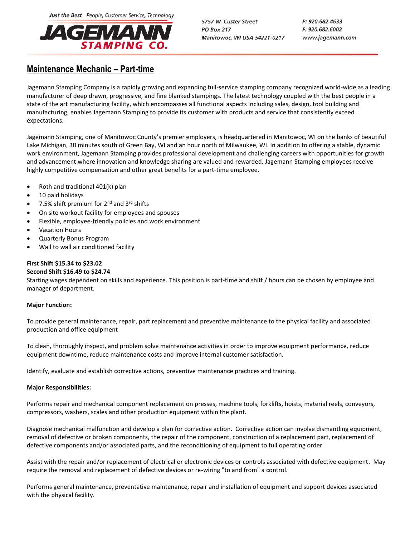Just the Best People, Customer Service, Technology



5757 W. Custer Street **PO Box 217** Manitowoc, WI USA 54221-0217 P: 920.682.4633 F: 920.682.6002 www.jagemann.com

# **Maintenance Mechanic – Part-time**

Jagemann Stamping Company is a rapidly growing and expanding full-service stamping company recognized world-wide as a leading manufacturer of deep drawn, progressive, and fine blanked stampings. The latest technology coupled with the best people in a state of the art manufacturing facility, which encompasses all functional aspects including sales, design, tool building and manufacturing, enables Jagemann Stamping to provide its customer with products and service that consistently exceed expectations.

Jagemann Stamping, one of Manitowoc County's premier employers, is headquartered in Manitowoc, WI on the banks of beautiful Lake Michigan, 30 minutes south of Green Bay, WI and an hour north of Milwaukee, WI. In addition to offering a stable, dynamic work environment, Jagemann Stamping provides professional development and challenging careers with opportunities for growth and advancement where innovation and knowledge sharing are valued and rewarded. Jagemann Stamping employees receive highly competitive compensation and other great benefits for a part-time employee.

- Roth and traditional  $401(k)$  plan
- 10 paid holidays
- 7.5% shift premium for  $2^{nd}$  and  $3^{rd}$  shifts
- On site workout facility for employees and spouses
- Flexible, employee-friendly policies and work environment
- Vacation Hours
- Quarterly Bonus Program
- Wall to wall air conditioned facility

## **First Shift \$15.34 to \$23.02**

### **Second Shift \$16.49 to \$24.74**

Starting wages dependent on skills and experience. This position is part-time and shift / hours can be chosen by employee and manager of department.

### **Major Function:**

To provide general maintenance, repair, part replacement and preventive maintenance to the physical facility and associated production and office equipment

To clean, thoroughly inspect, and problem solve maintenance activities in order to improve equipment performance, reduce equipment downtime, reduce maintenance costs and improve internal customer satisfaction.

Identify, evaluate and establish corrective actions, preventive maintenance practices and training.

### **Major Responsibilities:**

Performs repair and mechanical component replacement on presses, machine tools, forklifts, hoists, material reels, conveyors, compressors, washers, scales and other production equipment within the plant.

Diagnose mechanical malfunction and develop a plan for corrective action. Corrective action can involve dismantling equipment, removal of defective or broken components, the repair of the component, construction of a replacement part, replacement of defective components and/or associated parts, and the reconditioning of equipment to full operating order.

Assist with the repair and/or replacement of electrical or electronic devices or controls associated with defective equipment. May require the removal and replacement of defective devices or re-wiring "to and from" a control.

Performs general maintenance, preventative maintenance, repair and installation of equipment and support devices associated with the physical facility.